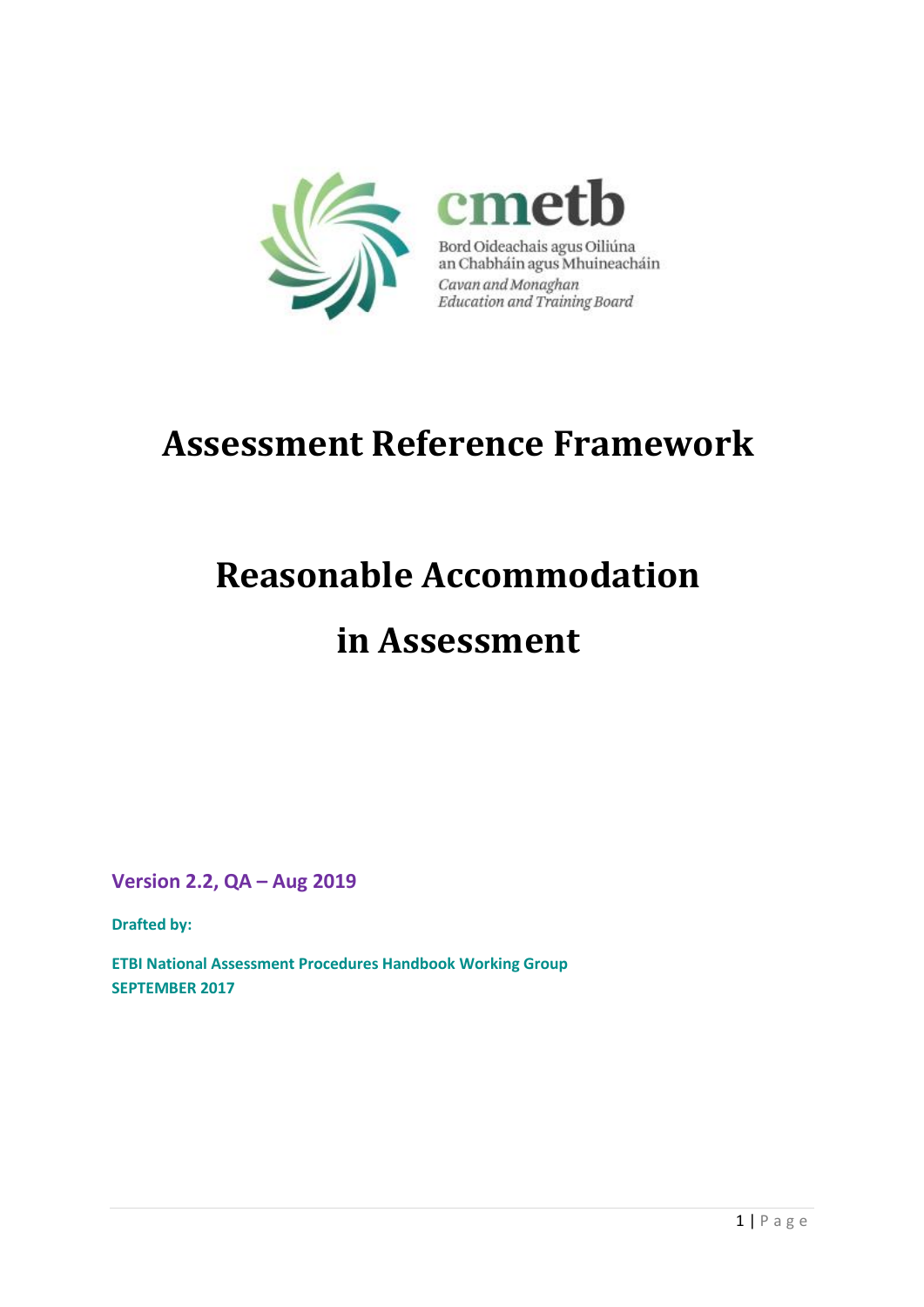

# **Assessment Reference Framework**

# **Reasonable Accommodation**

# **in Assessment**

**Version 2.2, QA – Aug 2019**

**Drafted by:** 

**ETBI National Assessment Procedures Handbook Working Group SEPTEMBER 2017**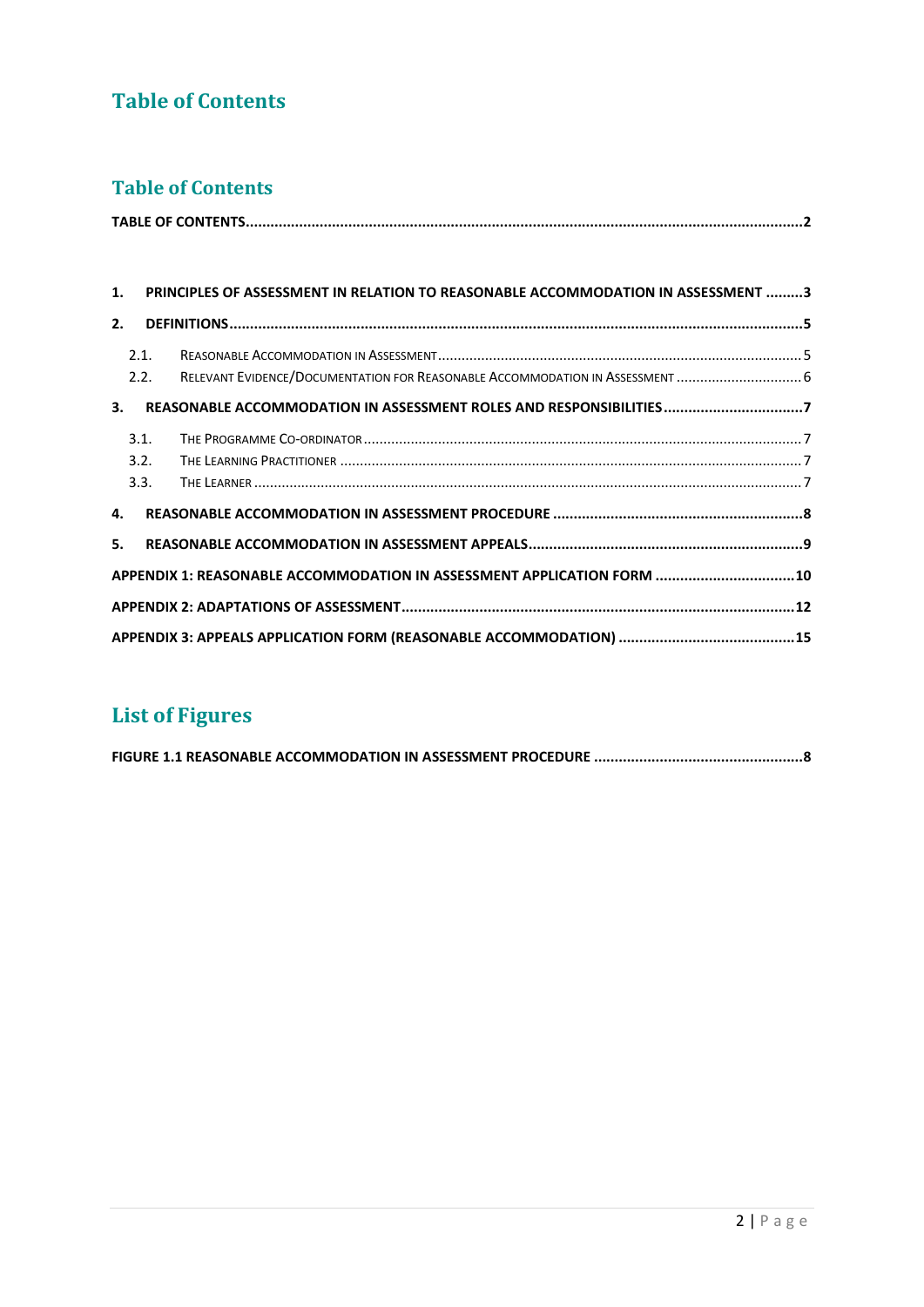# <span id="page-1-0"></span>**Table of Contents**

# **Table of Contents**

|    | 1. PRINCIPLES OF ASSESSMENT IN RELATION TO REASONABLE ACCOMMODATION IN ASSESSMENT 3 |                                                                               |  |  |
|----|-------------------------------------------------------------------------------------|-------------------------------------------------------------------------------|--|--|
| 2. |                                                                                     |                                                                               |  |  |
|    | 2.1.                                                                                |                                                                               |  |  |
|    | 2.2.                                                                                | RELEVANT EVIDENCE/DOCUMENTATION FOR REASONABLE ACCOMMODATION IN ASSESSMENT  6 |  |  |
|    |                                                                                     | 3. REASONABLE ACCOMMODATION IN ASSESSMENT ROLES AND RESPONSIBILITIES7         |  |  |
|    | 3.1.                                                                                |                                                                               |  |  |
|    | 3.2.                                                                                |                                                                               |  |  |
|    | 3.3.                                                                                |                                                                               |  |  |
|    | 4.                                                                                  |                                                                               |  |  |
|    | 5.                                                                                  |                                                                               |  |  |
|    |                                                                                     | APPENDIX 1: REASONABLE ACCOMMODATION IN ASSESSMENT APPLICATION FORM  10       |  |  |
|    |                                                                                     |                                                                               |  |  |
|    |                                                                                     |                                                                               |  |  |

# **List of Figures**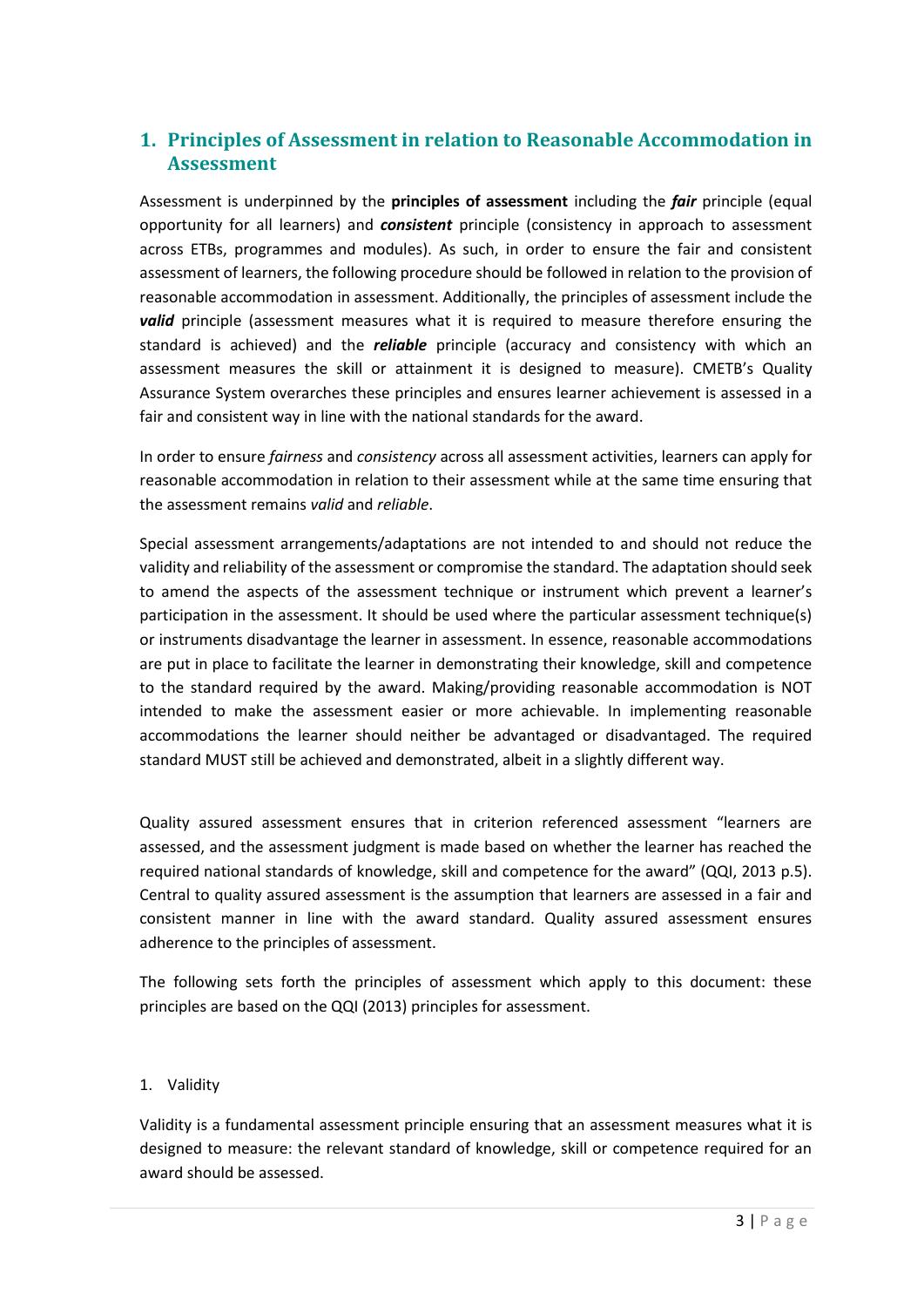# <span id="page-2-0"></span>**1. Principles of Assessment in relation to Reasonable Accommodation in Assessment**

Assessment is underpinned by the **principles of assessment** including the *fair* principle (equal opportunity for all learners) and *consistent* principle (consistency in approach to assessment across ETBs, programmes and modules). As such, in order to ensure the fair and consistent assessment of learners, the following procedure should be followed in relation to the provision of reasonable accommodation in assessment. Additionally, the principles of assessment include the *valid* principle (assessment measures what it is required to measure therefore ensuring the standard is achieved) and the *reliable* principle (accuracy and consistency with which an assessment measures the skill or attainment it is designed to measure). CMETB's Quality Assurance System overarches these principles and ensures learner achievement is assessed in a fair and consistent way in line with the national standards for the award.

In order to ensure *fairness* and *consistency* across all assessment activities, learners can apply for reasonable accommodation in relation to their assessment while at the same time ensuring that the assessment remains *valid* and *reliable*.

Special assessment arrangements/adaptations are not intended to and should not reduce the validity and reliability of the assessment or compromise the standard. The adaptation should seek to amend the aspects of the assessment technique or instrument which prevent a learner's participation in the assessment. It should be used where the particular assessment technique(s) or instruments disadvantage the learner in assessment. In essence, reasonable accommodations are put in place to facilitate the learner in demonstrating their knowledge, skill and competence to the standard required by the award. Making/providing reasonable accommodation is NOT intended to make the assessment easier or more achievable. In implementing reasonable accommodations the learner should neither be advantaged or disadvantaged. The required standard MUST still be achieved and demonstrated, albeit in a slightly different way.

Quality assured assessment ensures that in criterion referenced assessment "learners are assessed, and the assessment judgment is made based on whether the learner has reached the required national standards of knowledge, skill and competence for the award" (QQI, 2013 p.5). Central to quality assured assessment is the assumption that learners are assessed in a fair and consistent manner in line with the award standard. Quality assured assessment ensures adherence to the principles of assessment.

The following sets forth the principles of assessment which apply to this document: these principles are based on the QQI (2013) principles for assessment.

# 1. Validity

Validity is a fundamental assessment principle ensuring that an assessment measures what it is designed to measure: the relevant standard of knowledge, skill or competence required for an award should be assessed.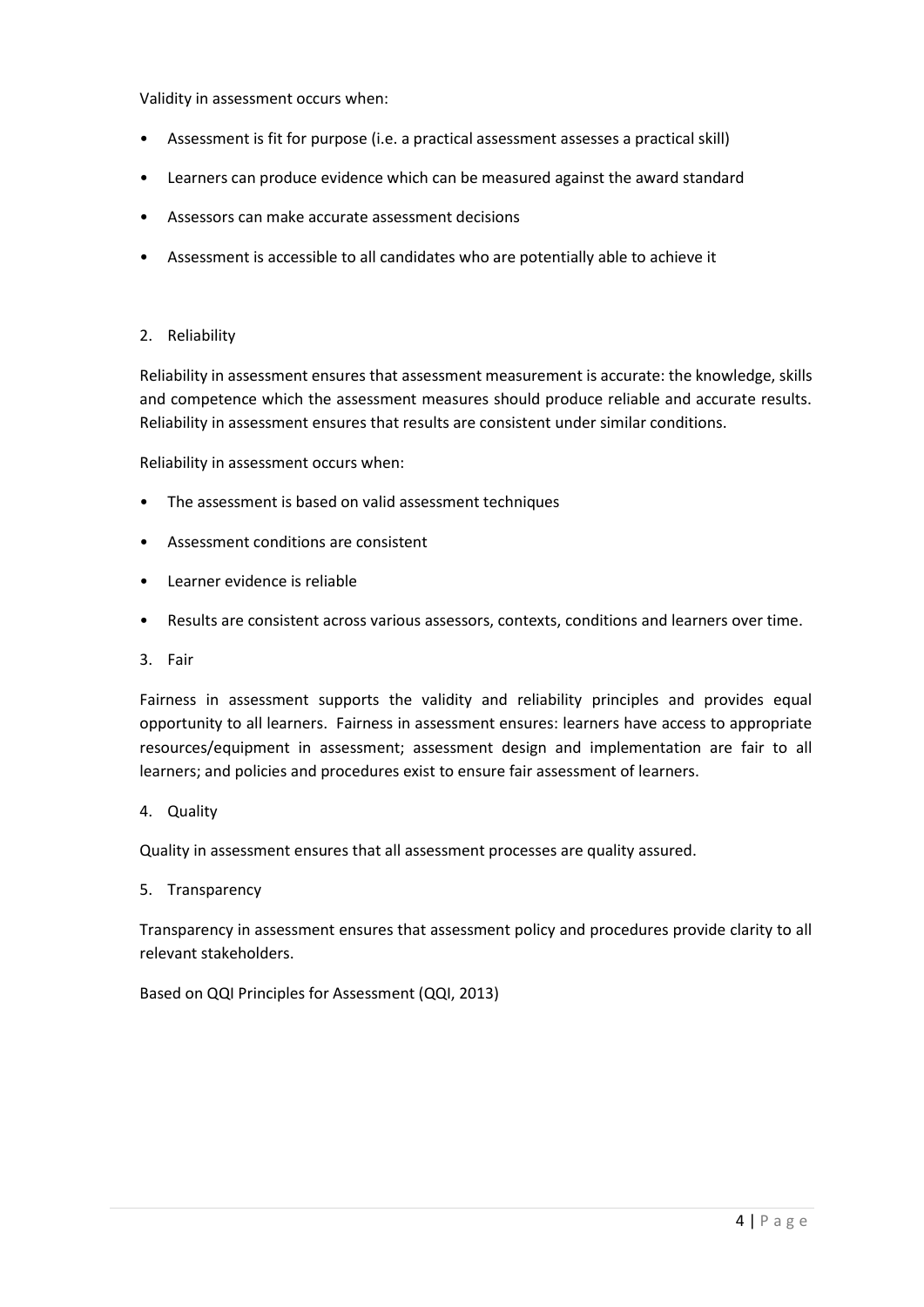#### Validity in assessment occurs when:

- Assessment is fit for purpose (i.e. a practical assessment assesses a practical skill)
- Learners can produce evidence which can be measured against the award standard
- Assessors can make accurate assessment decisions
- Assessment is accessible to all candidates who are potentially able to achieve it

#### 2. Reliability

Reliability in assessment ensures that assessment measurement is accurate: the knowledge, skills and competence which the assessment measures should produce reliable and accurate results. Reliability in assessment ensures that results are consistent under similar conditions.

Reliability in assessment occurs when:

- The assessment is based on valid assessment techniques
- Assessment conditions are consistent
- Learner evidence is reliable
- Results are consistent across various assessors, contexts, conditions and learners over time.
- 3. Fair

Fairness in assessment supports the validity and reliability principles and provides equal opportunity to all learners. Fairness in assessment ensures: learners have access to appropriate resources/equipment in assessment; assessment design and implementation are fair to all learners; and policies and procedures exist to ensure fair assessment of learners.

4. Quality

Quality in assessment ensures that all assessment processes are quality assured.

5. Transparency

Transparency in assessment ensures that assessment policy and procedures provide clarity to all relevant stakeholders.

<span id="page-3-0"></span>Based on QQI Principles for Assessment (QQI, 2013)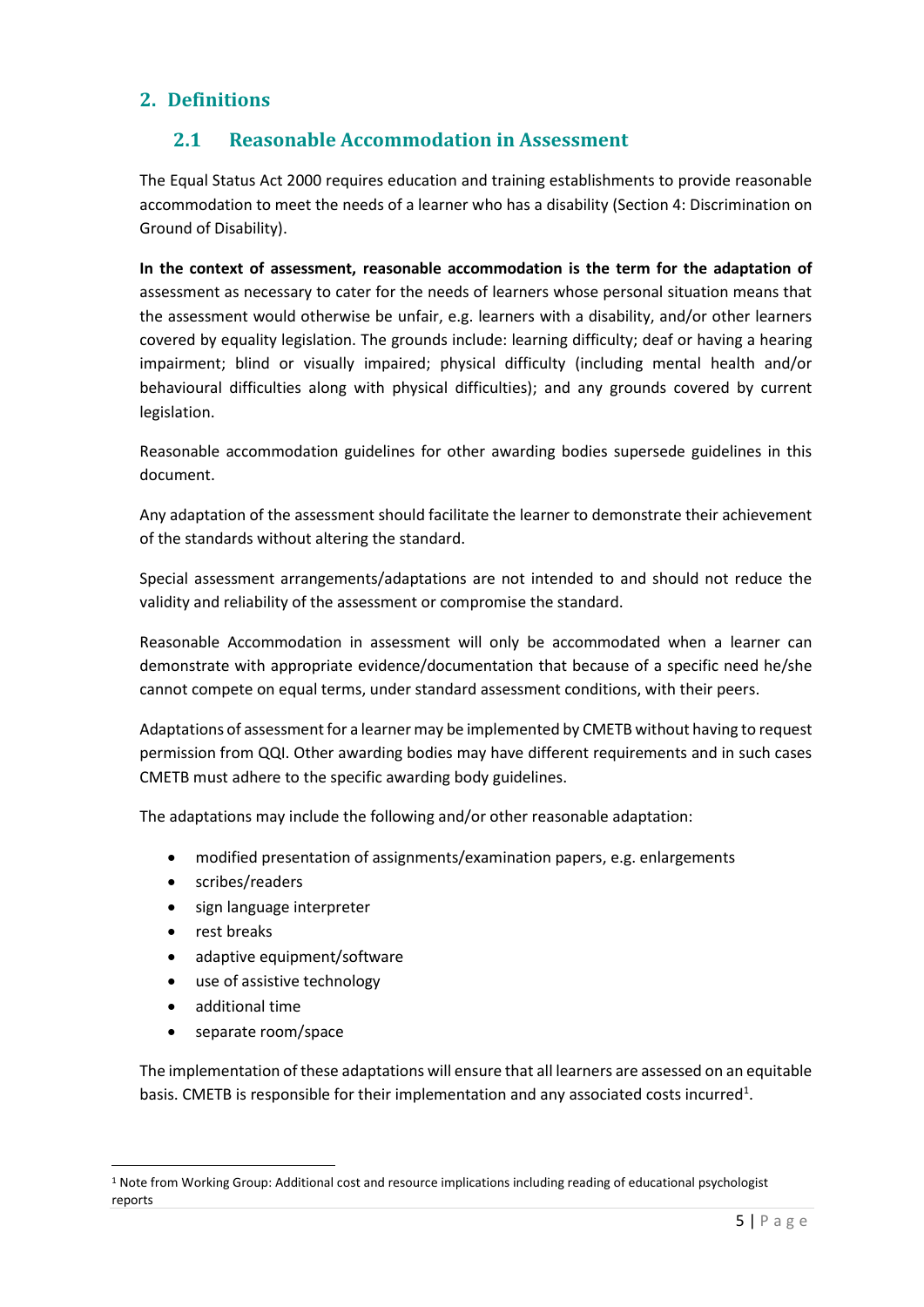# <span id="page-4-0"></span>**2. Definitions**

# **2.1 Reasonable Accommodation in Assessment**

The Equal Status Act 2000 requires education and training establishments to provide reasonable accommodation to meet the needs of a learner who has a disability (Section 4: Discrimination on Ground of Disability).

**In the context of assessment, reasonable accommodation is the term for the adaptation of**  assessment as necessary to cater for the needs of learners whose personal situation means that the assessment would otherwise be unfair, e.g. learners with a disability, and/or other learners covered by equality legislation. The grounds include: learning difficulty; deaf or having a hearing impairment; blind or visually impaired; physical difficulty (including mental health and/or behavioural difficulties along with physical difficulties); and any grounds covered by current legislation.

Reasonable accommodation guidelines for other awarding bodies supersede guidelines in this document.

Any adaptation of the assessment should facilitate the learner to demonstrate their achievement of the standards without altering the standard.

Special assessment arrangements/adaptations are not intended to and should not reduce the validity and reliability of the assessment or compromise the standard.

Reasonable Accommodation in assessment will only be accommodated when a learner can demonstrate with appropriate evidence/documentation that because of a specific need he/she cannot compete on equal terms, under standard assessment conditions, with their peers.

Adaptations of assessment for a learner may be implemented by CMETB without having to request permission from QQI. Other awarding bodies may have different requirements and in such cases CMETB must adhere to the specific awarding body guidelines.

The adaptations may include the following and/or other reasonable adaptation:

- modified presentation of assignments/examination papers, e.g. enlargements
- scribes/readers
- sign language interpreter
- rest breaks
- adaptive equipment/software
- use of assistive technology
- additional time
- separate room/space

The implementation of these adaptations will ensure that all learners are assessed on an equitable basis. CMETB is responsible for their implementation and any associated costs incurred<sup>1</sup>.

<sup>1</sup> Note from Working Group: Additional cost and resource implications including reading of educational psychologist reports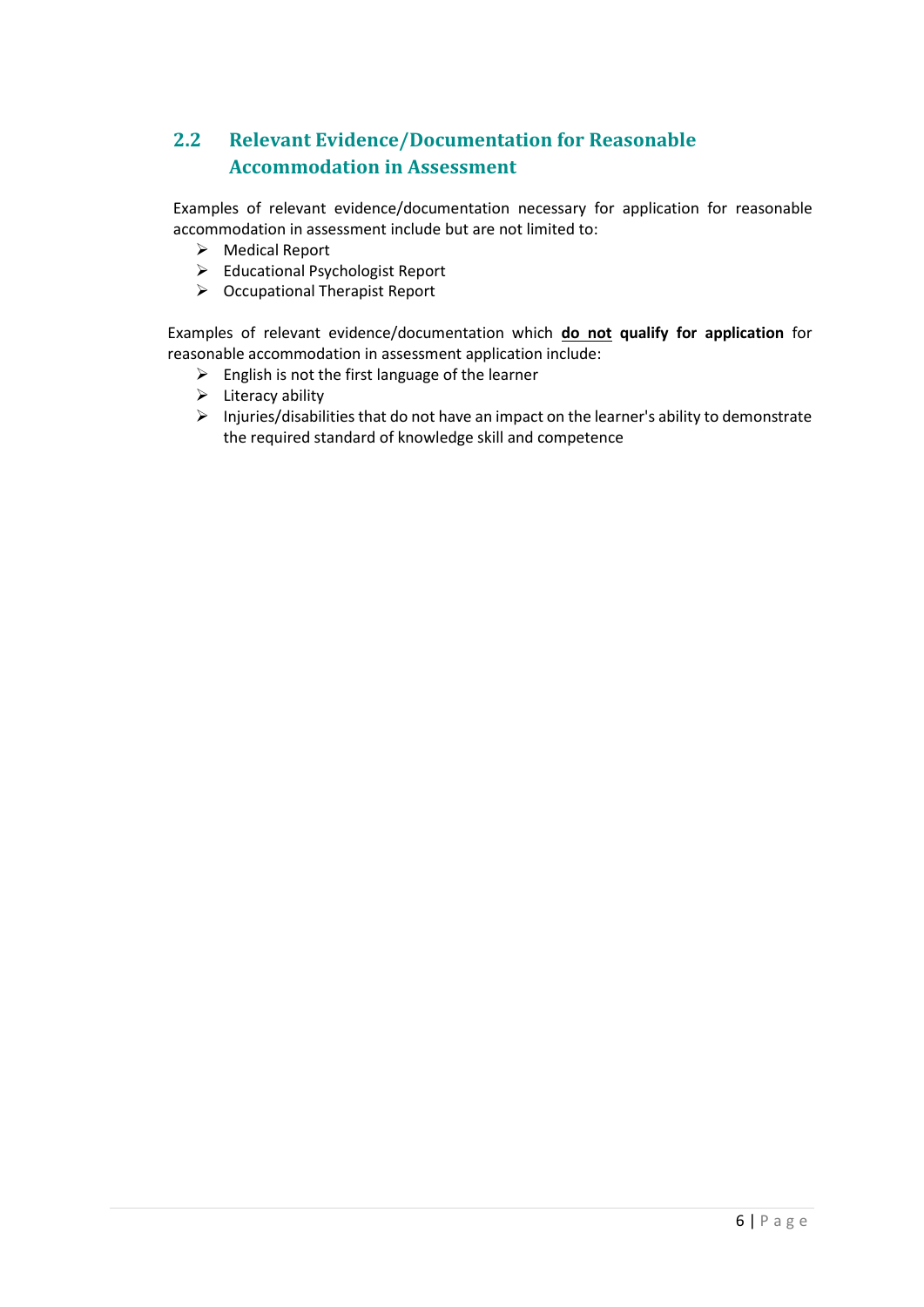# <span id="page-5-0"></span>**2.2 Relevant Evidence/Documentation for Reasonable Accommodation in Assessment**

Examples of relevant evidence/documentation necessary for application for reasonable accommodation in assessment include but are not limited to:

- ➢ Medical Report
- ➢ Educational Psychologist Report
- ➢ Occupational Therapist Report

Examples of relevant evidence/documentation which **do not qualify for application** for reasonable accommodation in assessment application include:

- $\triangleright$  English is not the first language of the learner
- $\triangleright$  Literacy ability
- ➢ Injuries/disabilities that do not have an impact on the learner's ability to demonstrate the required standard of knowledge skill and competence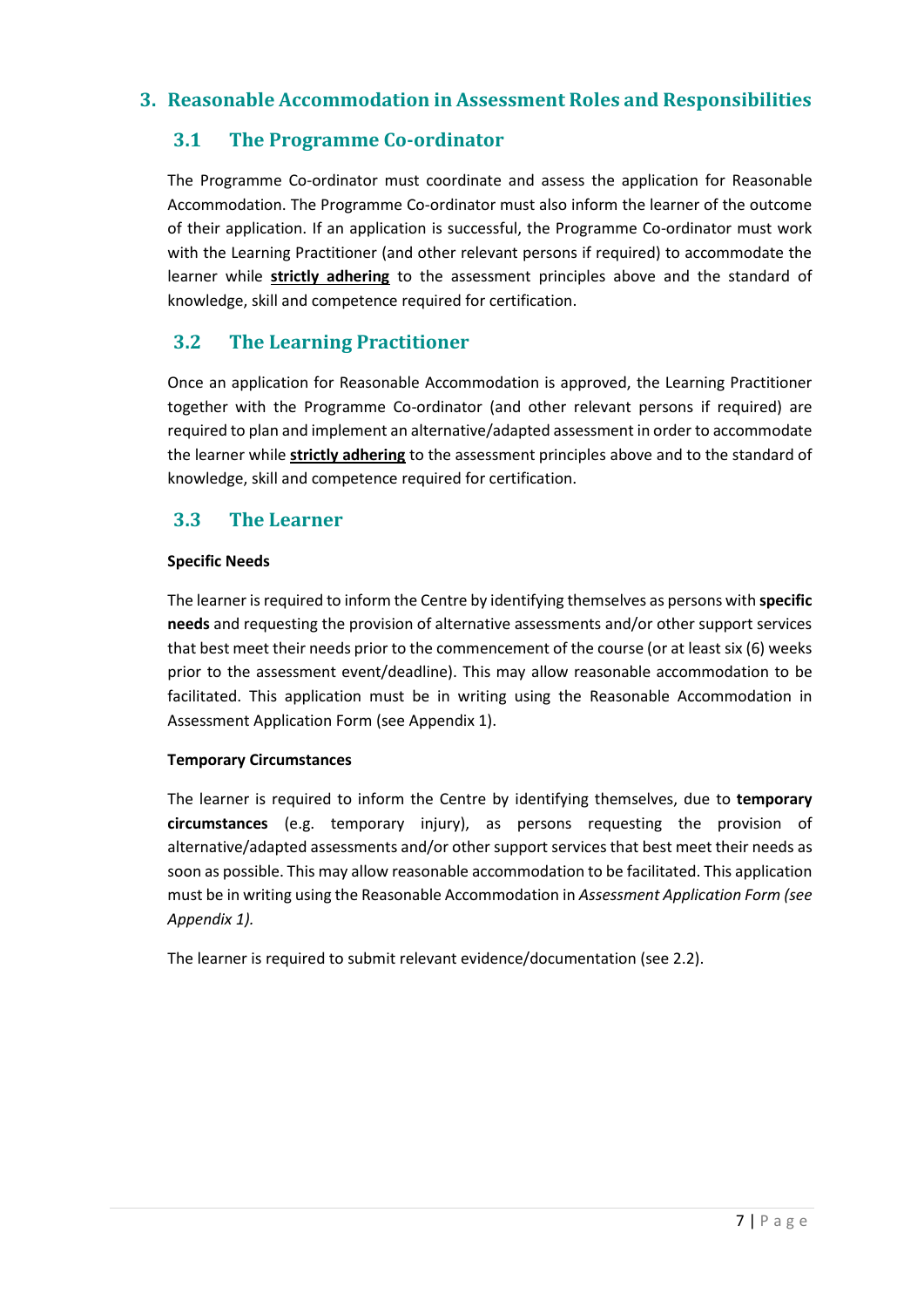# <span id="page-6-1"></span><span id="page-6-0"></span>**3. Reasonable Accommodation in Assessment Roles and Responsibilities**

# **3.1 The Programme Co-ordinator**

The Programme Co-ordinator must coordinate and assess the application for Reasonable Accommodation. The Programme Co-ordinator must also inform the learner of the outcome of their application. If an application is successful, the Programme Co-ordinator must work with the Learning Practitioner (and other relevant persons if required) to accommodate the learner while **strictly adhering** to the assessment principles above and the standard of knowledge, skill and competence required for certification.

# <span id="page-6-2"></span>**3.2 The Learning Practitioner**

Once an application for Reasonable Accommodation is approved, the Learning Practitioner together with the Programme Co-ordinator (and other relevant persons if required) are required to plan and implement an alternative/adapted assessment in order to accommodate the learner while **strictly adhering** to the assessment principles above and to the standard of knowledge, skill and competence required for certification.

# <span id="page-6-3"></span>**3.3 The Learner**

# **Specific Needs**

The learner is required to inform the Centre by identifying themselves as persons with **specific needs** and requesting the provision of alternative assessments and/or other support services that best meet their needs prior to the commencement of the course (or at least six (6) weeks prior to the assessment event/deadline). This may allow reasonable accommodation to be facilitated. This application must be in writing using the Reasonable Accommodation in Assessment Application Form (see Appendix 1).

# **Temporary Circumstances**

The learner is required to inform the Centre by identifying themselves, due to **temporary circumstances** (e.g. temporary injury), as persons requesting the provision of alternative/adapted assessments and/or other support services that best meet their needs as soon as possible. This may allow reasonable accommodation to be facilitated. This application must be in writing using the Reasonable Accommodation in *Assessment Application Form (see Appendix 1).*

The learner is required to submit relevant evidence/documentation (see 2.2).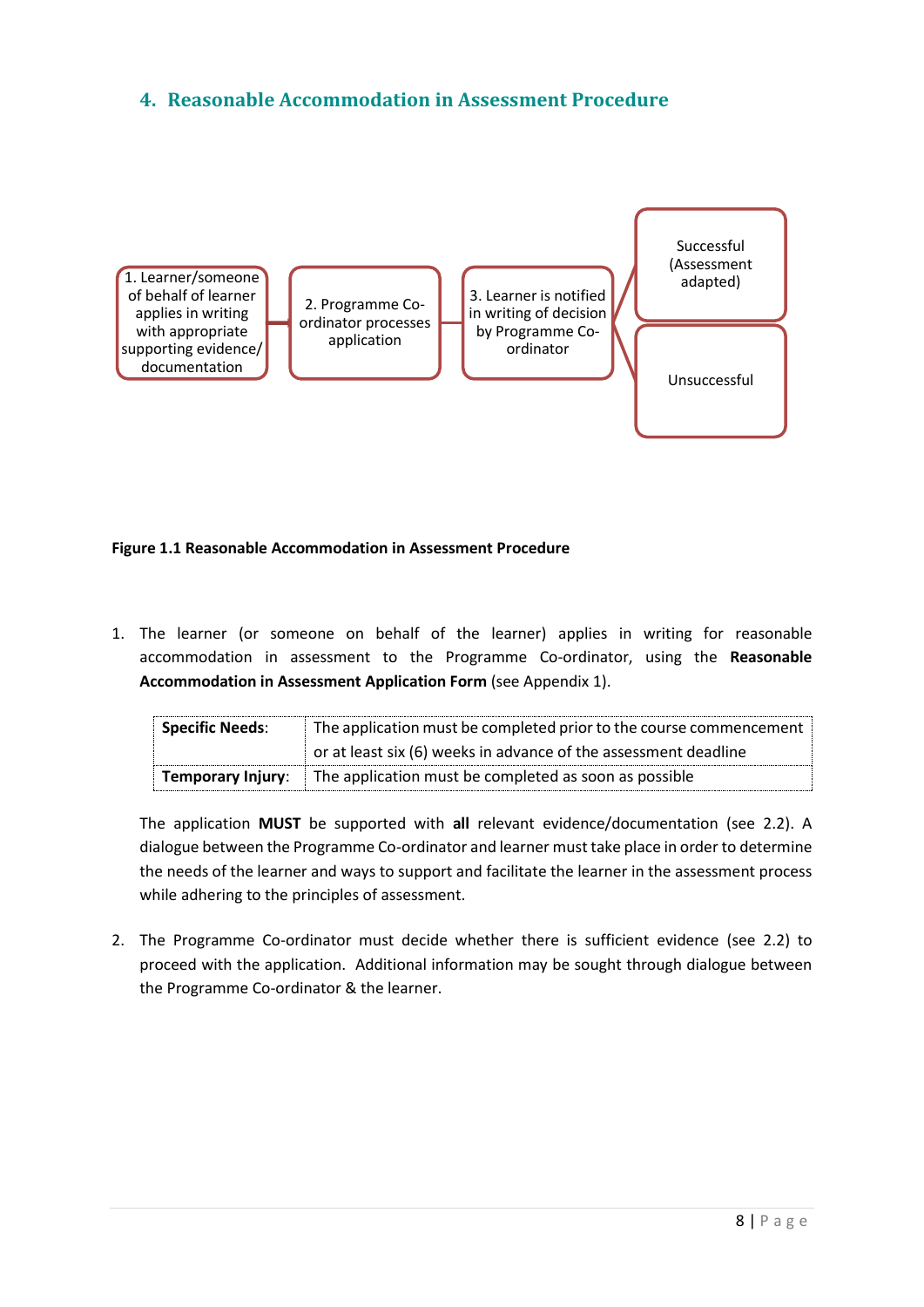# <span id="page-7-0"></span>**4. Reasonable Accommodation in Assessment Procedure**



# <span id="page-7-1"></span>**Figure 1.1 Reasonable Accommodation in Assessment Procedure**

1. The learner (or someone on behalf of the learner) [applies in writing for reasonable](file:///C:/Users/Owner/Dropbox/ETB%20Project/Forward%20Documentation/Resources/Compassionate%20Consideration/Application%20Form%20for%20granting%20compassionate%20consideration.doc)  [accommodation i](file:///C:/Users/Owner/Dropbox/ETB%20Project/Forward%20Documentation/Resources/Compassionate%20Consideration/Application%20Form%20for%20granting%20compassionate%20consideration.doc)n assessment to the Programme Co-ordinator, using the **Reasonable Accommodation in Assessment Application Form** (see Appendix 1).

| <b>Specific Needs:</b> | The application must be completed prior to the course commencement             |  |  |  |
|------------------------|--------------------------------------------------------------------------------|--|--|--|
|                        | or at least six (6) weeks in advance of the assessment deadline                |  |  |  |
|                        | <b>Temporary Injury:</b> The application must be completed as soon as possible |  |  |  |

The application **MUST** be supported with **all** relevant evidence/documentation (see 2.2). A dialogue between the Programme Co-ordinator and learner must take place in order to determine the needs of the learner and ways to support and facilitate the learner in the assessment process while adhering to the principles of assessment.

2. The Programme Co-ordinator must decide whether there is sufficient evidence (see 2.2) to proceed with the application. Additional information may be sought through dialogue between the Programme Co-ordinator & the learner.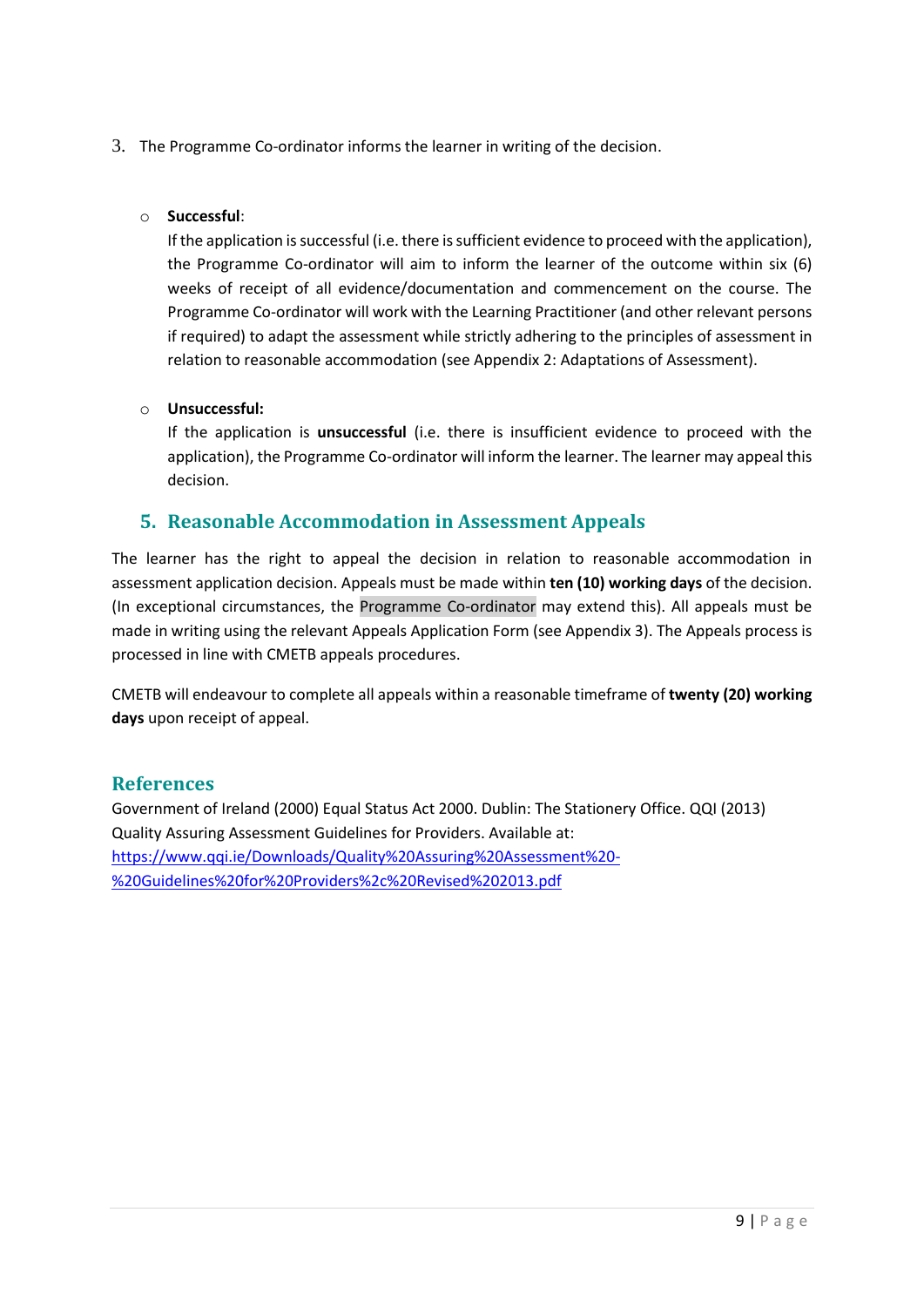# 3. The Programme Co-ordinator informs the learner in writing of the decision.

# o **Successful**:

If the application is successful (i.e. there is sufficient evidence to proceed with the application), the Programme Co-ordinator will aim to inform the learner of the outcome within six (6) weeks of receipt of all evidence/documentation and commencement on the course. The Programme Co-ordinator will work with the Learning Practitioner (and other relevant persons if required) to adapt the assessment while strictly adhering to the principles of assessment in relation to reasonable accommodation (see Appendix 2: Adaptations of Assessment).

# o **Unsuccessful:**

If the application is **unsuccessful** (i.e. there is insufficient evidence to proceed with the application), the Programme Co-ordinator will inform the learner. The learner may appeal this decision.

# <span id="page-8-0"></span>**5. Reasonable Accommodation in Assessment Appeals**

The learner has the right to appeal the decision in relation to reasonable accommodation in assessment application decision. Appeals must be made within **ten (10) working days** of the decision. (In exceptional circumstances, the Programme Co-ordinator may extend this). All appeals must be made in writing using the relevant Appeals Application Form (see Appendix 3). The Appeals process is processed in line with CMETB appeals procedures.

CMETB will endeavour to complete all appeals within a reasonable timeframe of **twenty (20) working days** upon receipt of appeal.

# **References**

<span id="page-8-1"></span>Government of Ireland (2000) Equal Status Act 2000. Dublin: The Stationery Office. QQI (2013) Quality Assuring Assessment Guidelines for Providers. Available at: [https://www.qqi.ie/Downloads/Quality%20Assuring%20Assessment%20-](https://www.qqi.ie/Downloads/Quality%20Assuring%20Assessment%20-%20Guidelines%20for%20Providers%2c%20Revised%202013.pdf) [%20Guidelines%20for%20Providers%2c%20Revised%202013.pdf](https://www.qqi.ie/Downloads/Quality%20Assuring%20Assessment%20-%20Guidelines%20for%20Providers%2c%20Revised%202013.pdf)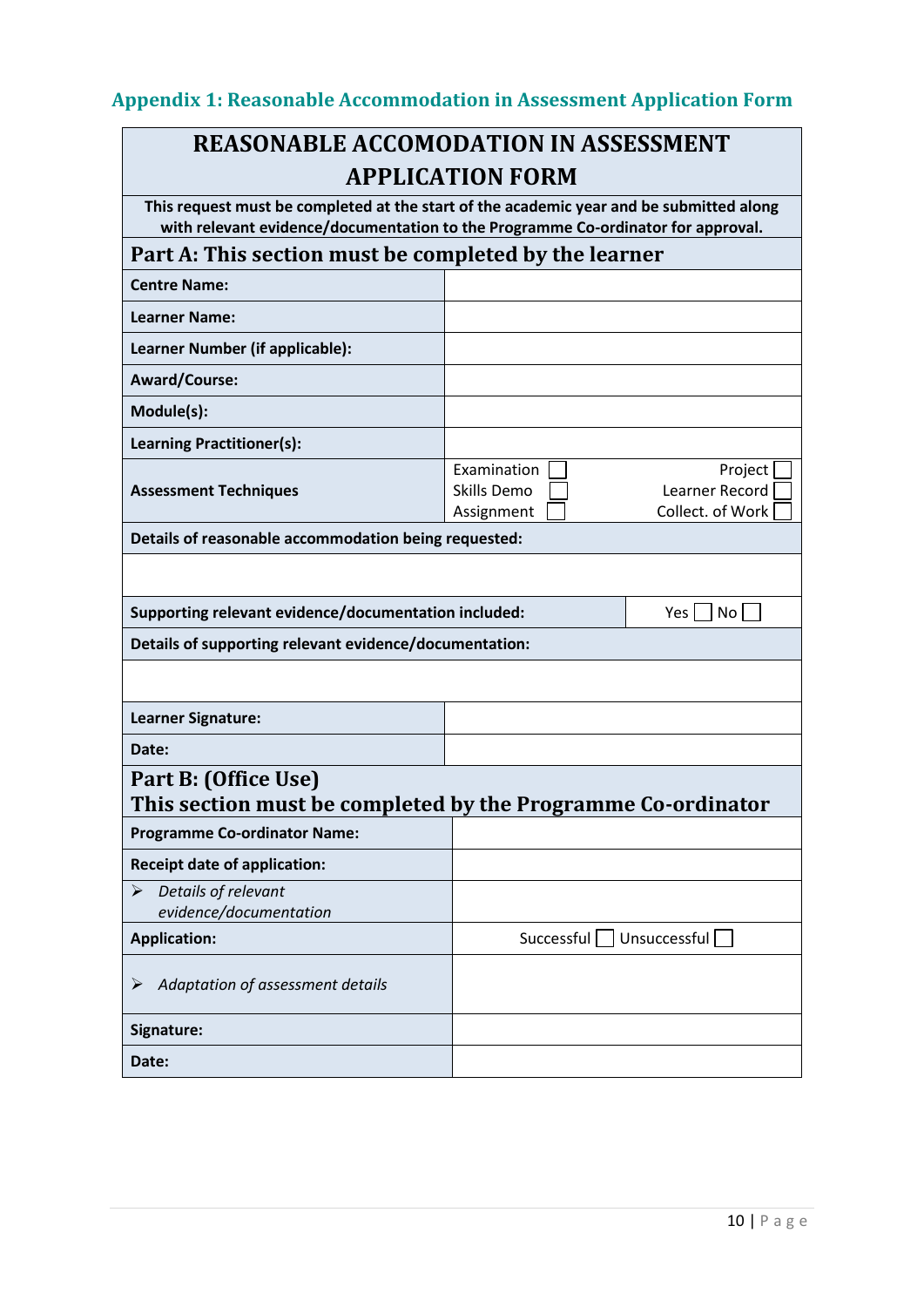# **REASONABLE ACCOMODATION IN ASSESSMENT APPLICATION FORM**

| This request must be completed at the start of the academic year and be submitted along<br>with relevant evidence/documentation to the Programme Co-ordinator for approval. |                                                                                           |  |  |
|-----------------------------------------------------------------------------------------------------------------------------------------------------------------------------|-------------------------------------------------------------------------------------------|--|--|
| Part A: This section must be completed by the learner                                                                                                                       |                                                                                           |  |  |
| <b>Centre Name:</b>                                                                                                                                                         |                                                                                           |  |  |
| <b>Learner Name:</b>                                                                                                                                                        |                                                                                           |  |  |
| Learner Number (if applicable):                                                                                                                                             |                                                                                           |  |  |
| <b>Award/Course:</b>                                                                                                                                                        |                                                                                           |  |  |
| Module(s):                                                                                                                                                                  |                                                                                           |  |  |
| Learning Practitioner(s):                                                                                                                                                   |                                                                                           |  |  |
| <b>Assessment Techniques</b>                                                                                                                                                | Examination<br>Project<br>Learner Record<br>Skills Demo<br>Collect. of Work<br>Assignment |  |  |
| Details of reasonable accommodation being requested:                                                                                                                        |                                                                                           |  |  |
|                                                                                                                                                                             |                                                                                           |  |  |
| Supporting relevant evidence/documentation included:<br>No<br>Yes                                                                                                           |                                                                                           |  |  |
| Details of supporting relevant evidence/documentation:                                                                                                                      |                                                                                           |  |  |
|                                                                                                                                                                             |                                                                                           |  |  |
| Learner Signature:                                                                                                                                                          |                                                                                           |  |  |
| Date:                                                                                                                                                                       |                                                                                           |  |  |
| Part B: (Office Use)                                                                                                                                                        | This section must be completed by the Programme Co-ordinator                              |  |  |
| <b>Programme Co-ordinator Name:</b>                                                                                                                                         |                                                                                           |  |  |
| <b>Receipt date of application:</b>                                                                                                                                         |                                                                                           |  |  |
| $\blacktriangleright$<br>Details of relevant<br>evidence/documentation                                                                                                      |                                                                                           |  |  |
| <b>Application:</b>                                                                                                                                                         | Unsuccessful<br>Successful                                                                |  |  |
| Adaptation of assessment details                                                                                                                                            |                                                                                           |  |  |
| Signature:                                                                                                                                                                  |                                                                                           |  |  |
| Date:                                                                                                                                                                       |                                                                                           |  |  |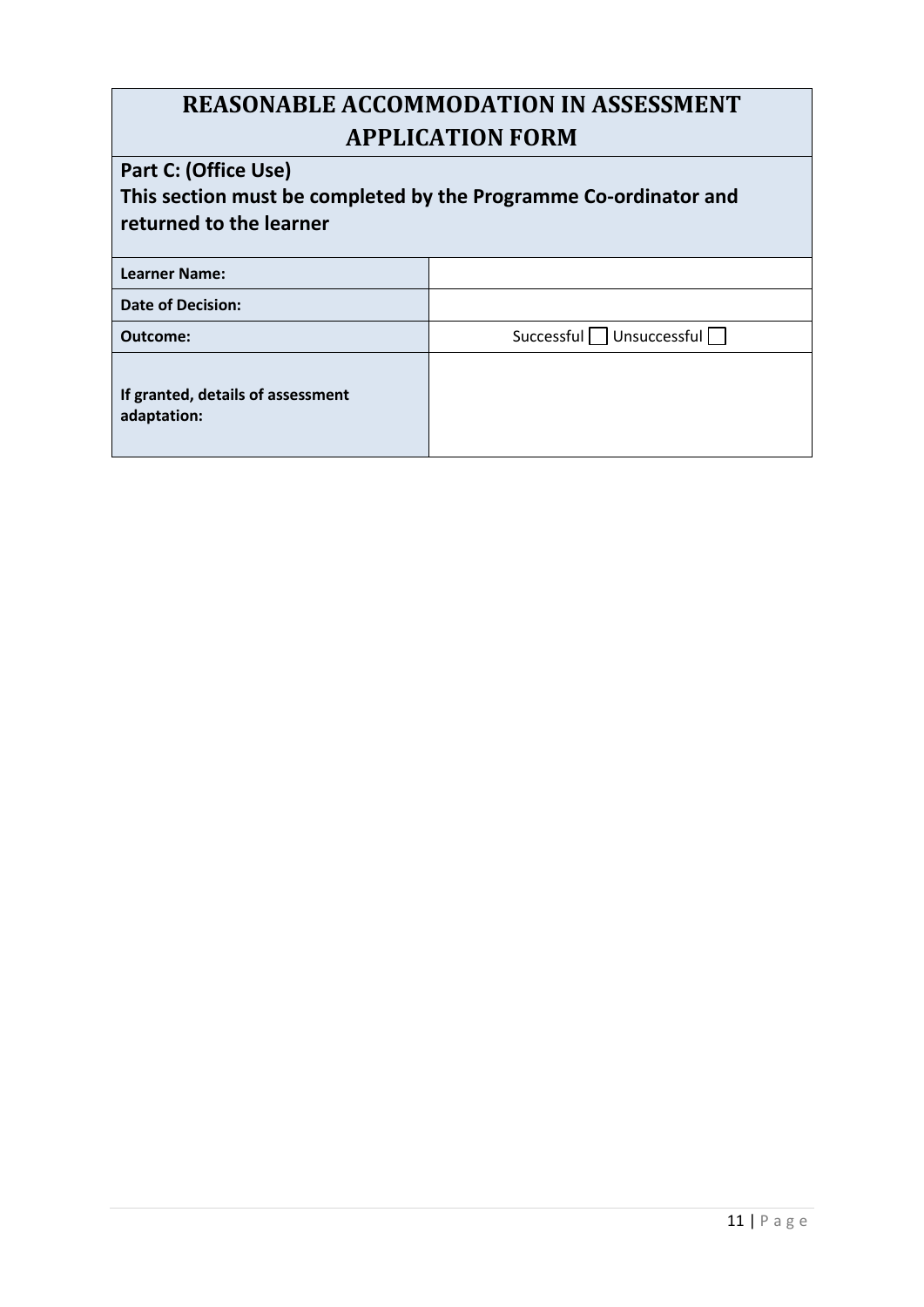# **REASONABLE ACCOMMODATION IN ASSESSMENT APPLICATION FORM**

# **Part C: (Office Use) This section must be completed by the Programme Co-ordinator and returned to the learner**

| <b>Learner Name:</b>                             |                         |
|--------------------------------------------------|-------------------------|
| <b>Date of Decision:</b>                         |                         |
| <b>Outcome:</b>                                  | Successful Unsuccessful |
| If granted, details of assessment<br>adaptation: |                         |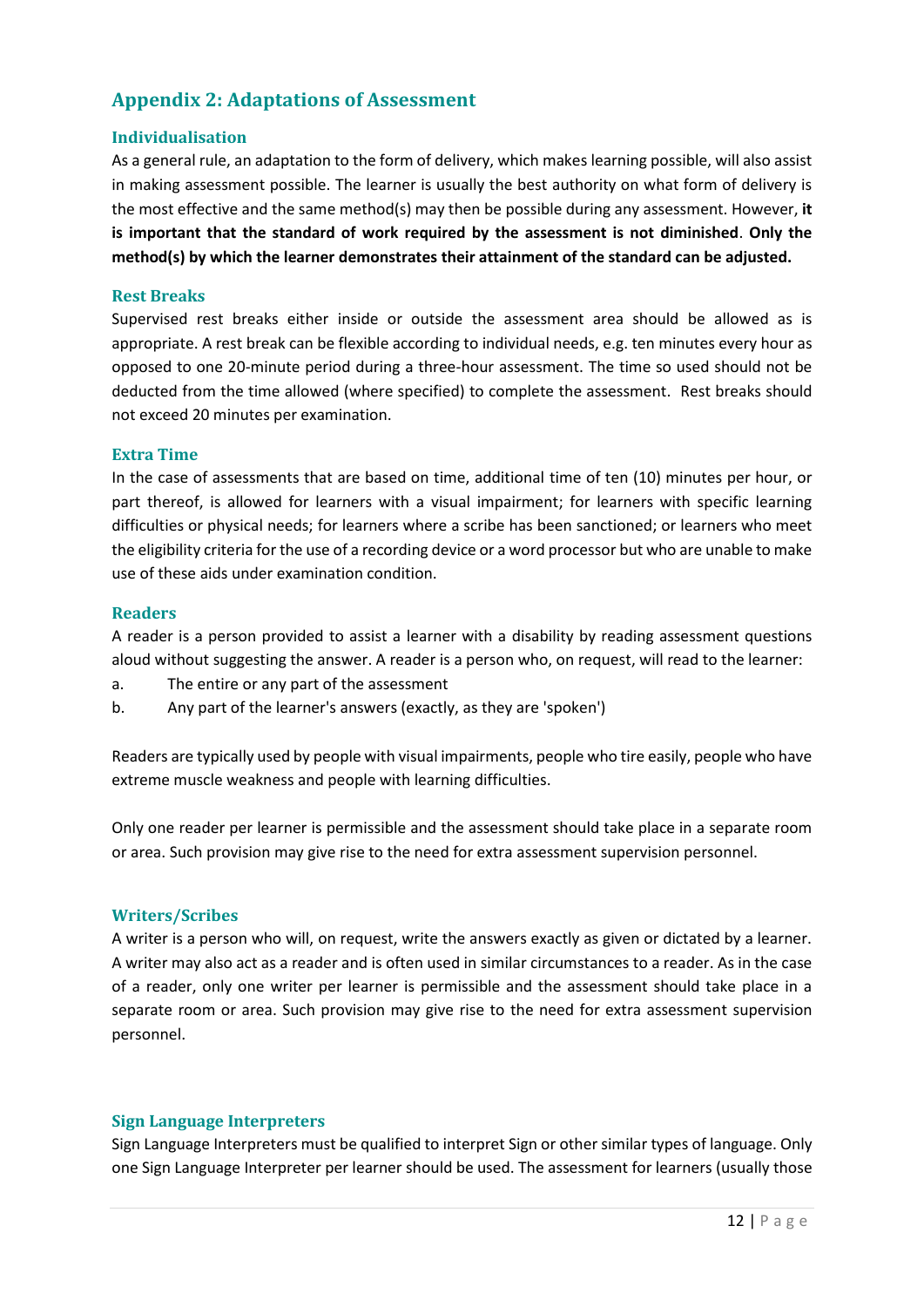# <span id="page-11-0"></span>**Appendix 2: Adaptations of Assessment**

#### **Individualisation**

As a general rule, an adaptation to the form of delivery, which makes learning possible, will also assist in making assessment possible. The learner is usually the best authority on what form of delivery is the most effective and the same method(s) may then be possible during any assessment. However, **it is important that the standard of work required by the assessment is not diminished**. **Only the method(s) by which the learner demonstrates their attainment of the standard can be adjusted.**

#### **Rest Breaks**

Supervised rest breaks either inside or outside the assessment area should be allowed as is appropriate. A rest break can be flexible according to individual needs, e.g. ten minutes every hour as opposed to one 20-minute period during a three-hour assessment. The time so used should not be deducted from the time allowed (where specified) to complete the assessment. Rest breaks should not exceed 20 minutes per examination.

#### **Extra Time**

In the case of assessments that are based on time, additional time of ten (10) minutes per hour, or part thereof, is allowed for learners with a visual impairment; for learners with specific learning difficulties or physical needs; for learners where a scribe has been sanctioned; or learners who meet the eligibility criteria for the use of a recording device or a word processor but who are unable to make use of these aids under examination condition.

#### **Readers**

A reader is a person provided to assist a learner with a disability by reading assessment questions aloud without suggesting the answer. A reader is a person who, on request, will read to the learner:

- a. The entire or any part of the assessment
- b. Any part of the learner's answers (exactly, as they are 'spoken')

Readers are typically used by people with visual impairments, people who tire easily, people who have extreme muscle weakness and people with learning difficulties.

Only one reader per learner is permissible and the assessment should take place in a separate room or area. Such provision may give rise to the need for extra assessment supervision personnel.

#### **Writers/Scribes**

A writer is a person who will, on request, write the answers exactly as given or dictated by a learner. A writer may also act as a reader and is often used in similar circumstances to a reader. As in the case of a reader, only one writer per learner is permissible and the assessment should take place in a separate room or area. Such provision may give rise to the need for extra assessment supervision personnel.

#### **Sign Language Interpreters**

Sign Language Interpreters must be qualified to interpret Sign or other similar types of language. Only one Sign Language Interpreter per learner should be used. The assessment for learners (usually those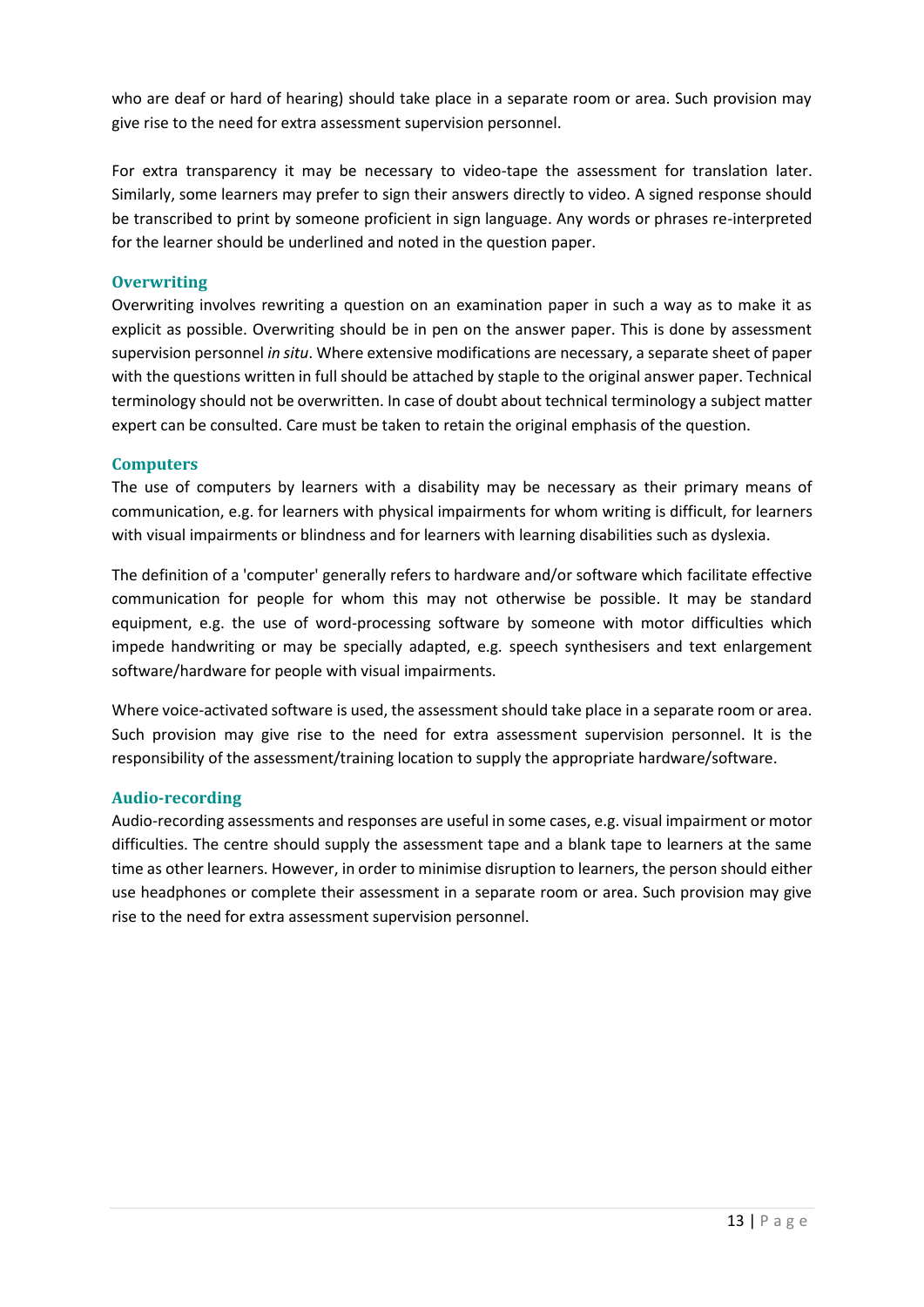who are deaf or hard of hearing) should take place in a separate room or area. Such provision may give rise to the need for extra assessment supervision personnel.

For extra transparency it may be necessary to video-tape the assessment for translation later. Similarly, some learners may prefer to sign their answers directly to video. A signed response should be transcribed to print by someone proficient in sign language. Any words or phrases re-interpreted for the learner should be underlined and noted in the question paper.

# **Overwriting**

Overwriting involves rewriting a question on an examination paper in such a way as to make it as explicit as possible. Overwriting should be in pen on the answer paper. This is done by assessment supervision personnel *in situ*. Where extensive modifications are necessary, a separate sheet of paper with the questions written in full should be attached by staple to the original answer paper. Technical terminology should not be overwritten. In case of doubt about technical terminology a subject matter expert can be consulted. Care must be taken to retain the original emphasis of the question.

# **Computers**

The use of computers by learners with a disability may be necessary as their primary means of communication, e.g. for learners with physical impairments for whom writing is difficult, for learners with visual impairments or blindness and for learners with learning disabilities such as dyslexia.

The definition of a 'computer' generally refers to hardware and/or software which facilitate effective communication for people for whom this may not otherwise be possible. It may be standard equipment, e.g. the use of word-processing software by someone with motor difficulties which impede handwriting or may be specially adapted, e.g. speech synthesisers and text enlargement software/hardware for people with visual impairments.

Where voice-activated software is used, the assessment should take place in a separate room or area. Such provision may give rise to the need for extra assessment supervision personnel. It is the responsibility of the assessment/training location to supply the appropriate hardware/software.

# **Audio-recording**

Audio-recording assessments and responses are useful in some cases, e.g. visual impairment or motor difficulties. The centre should supply the assessment tape and a blank tape to learners at the same time as other learners. However, in order to minimise disruption to learners, the person should either use headphones or complete their assessment in a separate room or area. Such provision may give rise to the need for extra assessment supervision personnel.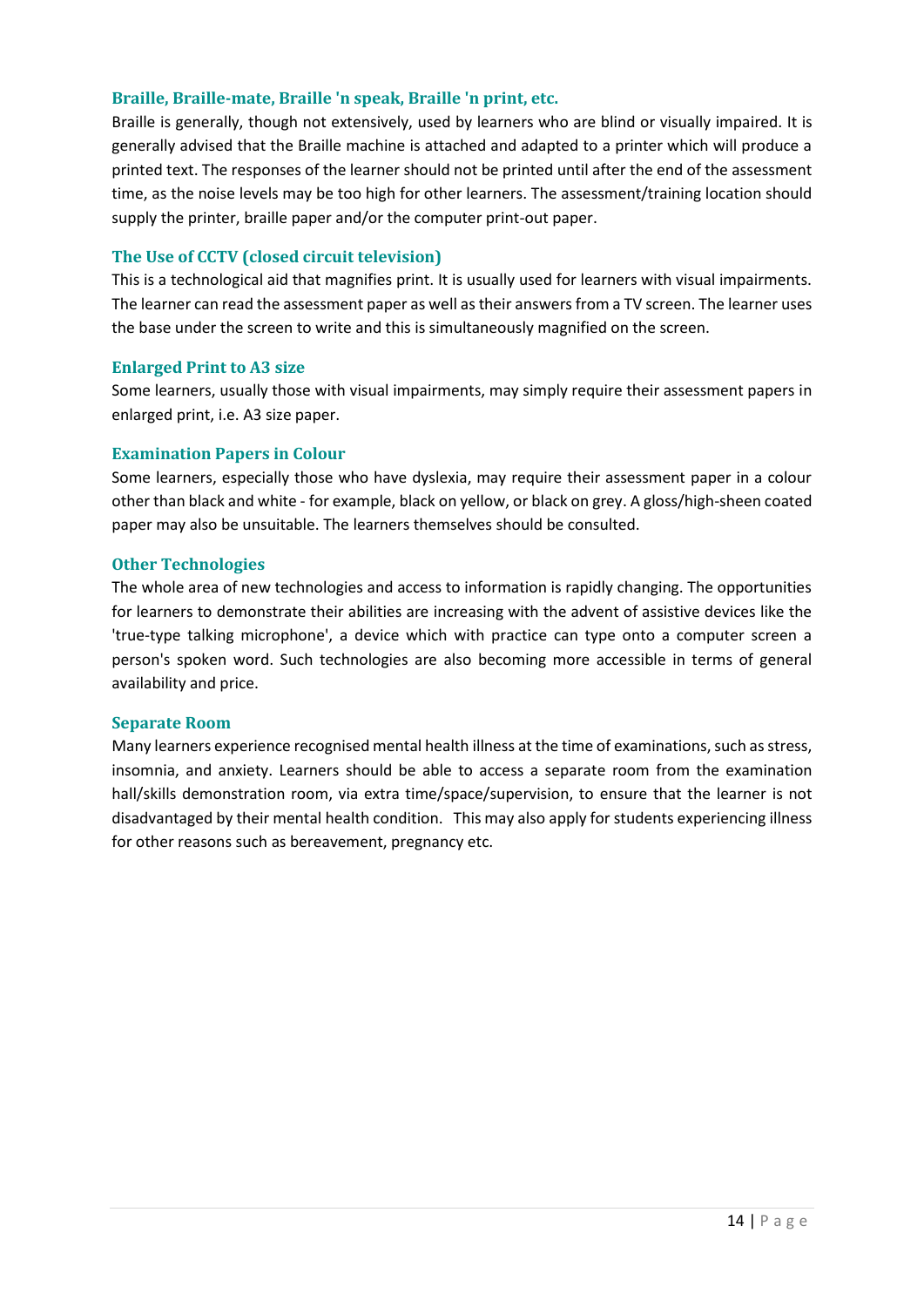# **Braille, Braille-mate, Braille 'n speak, Braille 'n print, etc.**

Braille is generally, though not extensively, used by learners who are blind or visually impaired. It is generally advised that the Braille machine is attached and adapted to a printer which will produce a printed text. The responses of the learner should not be printed until after the end of the assessment time, as the noise levels may be too high for other learners. The assessment/training location should supply the printer, braille paper and/or the computer print-out paper.

#### **The Use of CCTV (closed circuit television)**

This is a technological aid that magnifies print. It is usually used for learners with visual impairments. The learner can read the assessment paper as well as their answers from a TV screen. The learner uses the base under the screen to write and this is simultaneously magnified on the screen.

#### **Enlarged Print to A3 size**

Some learners, usually those with visual impairments, may simply require their assessment papers in enlarged print, i.e. A3 size paper.

#### **Examination Papers in Colour**

Some learners, especially those who have dyslexia, may require their assessment paper in a colour other than black and white - for example, black on yellow, or black on grey. A gloss/high-sheen coated paper may also be unsuitable. The learners themselves should be consulted.

#### **Other Technologies**

The whole area of new technologies and access to information is rapidly changing. The opportunities for learners to demonstrate their abilities are increasing with the advent of assistive devices like the 'true-type talking microphone', a device which with practice can type onto a computer screen a person's spoken word. Such technologies are also becoming more accessible in terms of general availability and price.

#### **Separate Room**

Many learners experience recognised mental health illness at the time of examinations, such as stress, insomnia, and anxiety. Learners should be able to access a separate room from the examination hall/skills demonstration room, via extra time/space/supervision, to ensure that the learner is not disadvantaged by their mental health condition. This may also apply for students experiencing illness for other reasons such as bereavement, pregnancy etc.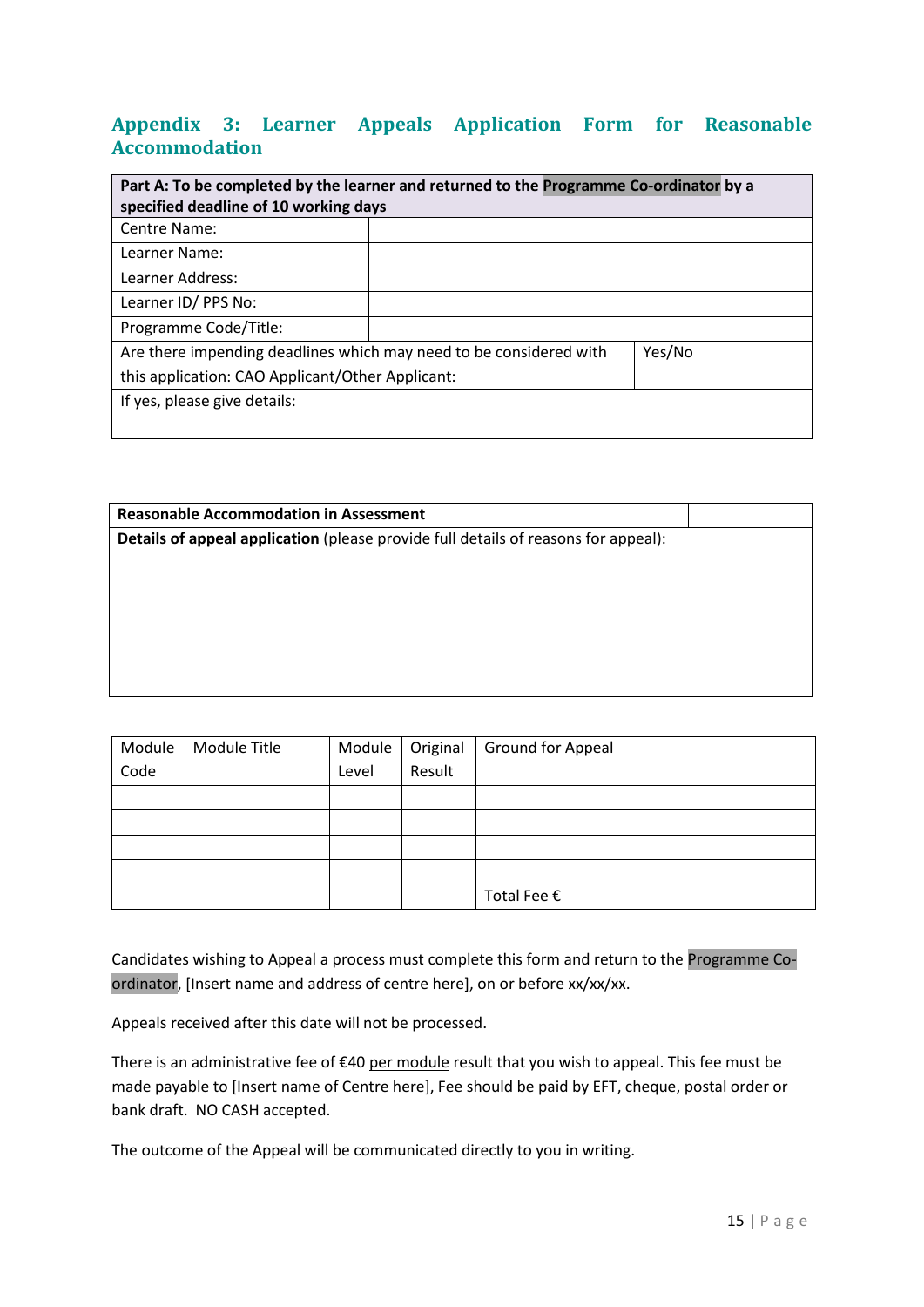# <span id="page-14-0"></span>**Appendix 3: Learner Appeals Application Form for Reasonable Accommodation**

| Part A: To be completed by the learner and returned to the Programme Co-ordinator by a<br>specified deadline of 10 working days |  |        |
|---------------------------------------------------------------------------------------------------------------------------------|--|--------|
| Centre Name:                                                                                                                    |  |        |
| Learner Name:                                                                                                                   |  |        |
| Learner Address:                                                                                                                |  |        |
| Learner ID/ PPS No:                                                                                                             |  |        |
| Programme Code/Title:                                                                                                           |  |        |
| Are there impending deadlines which may need to be considered with                                                              |  | Yes/No |
| this application: CAO Applicant/Other Applicant:                                                                                |  |        |
| If yes, please give details:                                                                                                    |  |        |
|                                                                                                                                 |  |        |

| <b>Reasonable Accommodation in Assessment</b>                                      |  |
|------------------------------------------------------------------------------------|--|
| Details of appeal application (please provide full details of reasons for appeal): |  |
|                                                                                    |  |
|                                                                                    |  |
|                                                                                    |  |
|                                                                                    |  |
|                                                                                    |  |
|                                                                                    |  |

| Module | Module Title | Module | Original | Ground for Appeal |
|--------|--------------|--------|----------|-------------------|
| Code   |              | Level  | Result   |                   |
|        |              |        |          |                   |
|        |              |        |          |                   |
|        |              |        |          |                   |
|        |              |        |          |                   |
|        |              |        |          | Total Fee €       |

Candidates wishing to Appeal a process must complete this form and return to the Programme Coordinator, [Insert name and address of centre here], on or before xx/xx/xx.

Appeals received after this date will not be processed.

There is an administrative fee of €40 per module result that you wish to appeal. This fee must be made payable to [Insert name of Centre here], Fee should be paid by EFT, cheque, postal order or bank draft. NO CASH accepted.

The outcome of the Appeal will be communicated directly to you in writing.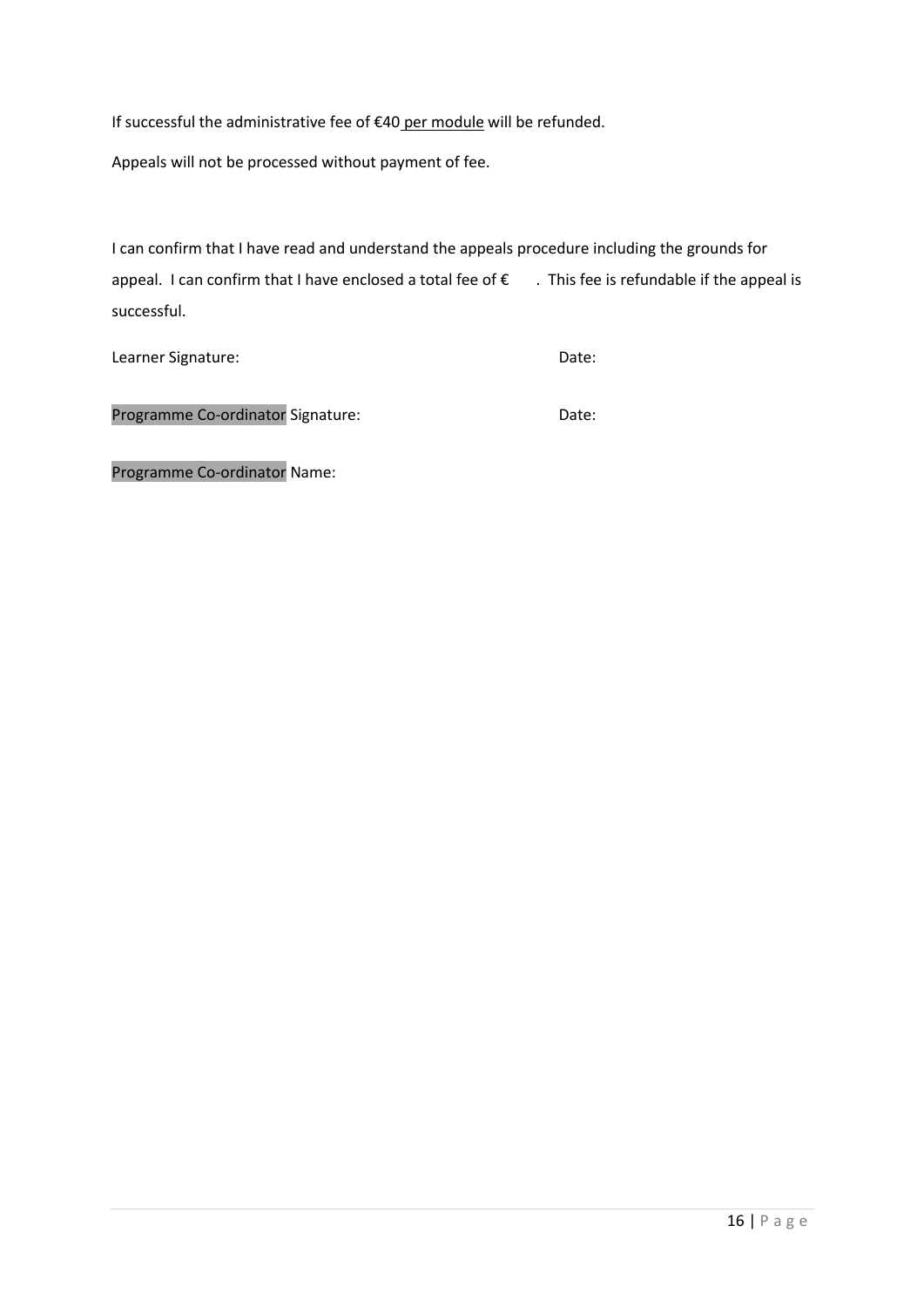If successful the administrative fee of €40 per module will be refunded.

Appeals will not be processed without payment of fee.

I can confirm that I have read and understand the appeals procedure including the grounds for appeal. I can confirm that I have enclosed a total fee of  $\epsilon$  . This fee is refundable if the appeal is successful.

Learner Signature: Date:

Programme Co-ordinator Signature: Date:

Programme Co-ordinator Name: